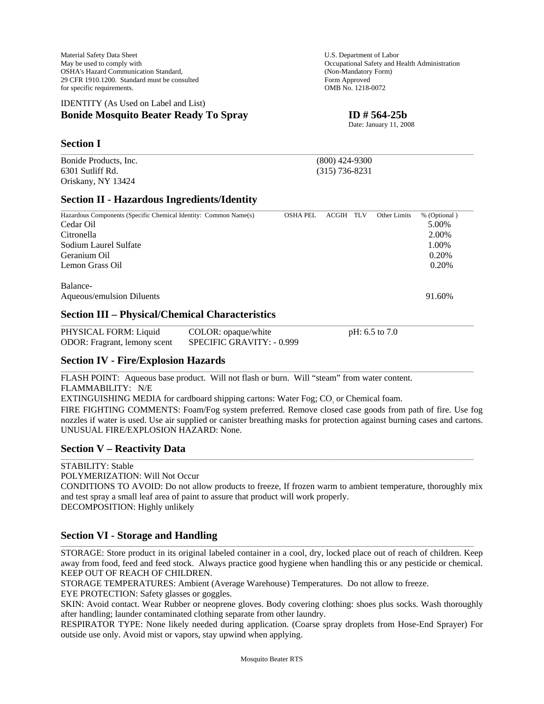Material Safety Data Sheet **U.S. Department of Labor** U.S. Department of Labor May be used to comply with  $\blacksquare$  Occupational Safety and Health Administration OSHA's Hazard Communication Standard, (Non-Mandatory Form)<br>
29 CFR 1910.1200. Standard must be consulted Form Approved 29 CFR 1910.1200. Standard must be consulted for specific requirements. OMB No. 1218-0072

### IDENTITY (As Used on Label and List) **Bonide Mosquito Beater Ready To Spray ID # 564-25b**

## **Section I**

Bonide Products, Inc. (800) 424-9300 6301 Sutliff Rd. (315) 736-8231 Oriskany, NY 13424

## **Section II - Hazardous Ingredients/Identity**

| Hazardous Components (Specific Chemical Identity: Common Name(s)                           | <b>OSHA PEL</b> | ACGIH | TLV | Other Limits | % (Optional) |  |
|--------------------------------------------------------------------------------------------|-----------------|-------|-----|--------------|--------------|--|
| Cedar Oil                                                                                  |                 |       |     |              | 5.00%        |  |
| Citronella                                                                                 |                 |       |     |              | 2.00%        |  |
| Sodium Laurel Sulfate                                                                      |                 |       |     |              | 1.00%        |  |
| Geranium Oil                                                                               |                 |       |     |              | 0.20%        |  |
| Lemon Grass Oil                                                                            |                 |       |     |              | 0.20%        |  |
| Balance-                                                                                   |                 |       |     |              |              |  |
| Aqueous/emulsion Diluents                                                                  |                 |       |     |              | 91.60%       |  |
| $\mathbf{L}$<br>$\cdot$ $\cdot$ $\sim$<br>$\sim$ $\sim$<br>$- - -$<br>--<br>.<br>$\bullet$ |                 |       |     |              |              |  |

\_\_\_\_\_\_\_\_\_\_\_\_\_\_\_\_\_\_\_\_\_\_\_\_\_\_\_\_\_\_\_\_\_\_\_\_\_\_\_\_\_\_\_\_\_\_\_\_\_\_\_\_\_\_\_\_\_\_\_\_\_\_\_\_\_\_\_\_\_\_\_\_\_\_\_\_\_\_\_\_\_\_\_\_\_\_\_\_\_\_\_\_\_\_\_\_\_\_\_\_\_\_\_\_\_\_\_\_\_\_\_\_\_\_\_\_\_\_\_\_\_\_\_\_\_\_\_\_\_\_\_\_\_\_\_\_\_\_\_\_\_\_\_\_\_\_\_\_\_\_\_\_\_\_\_

### **Section III – Physical/Chemical Characteristics**

| PHYSICAL FORM: Liquid               | COLOR: opaque/white       | pH: $6.5$ to $7.0$ |  |
|-------------------------------------|---------------------------|--------------------|--|
| <b>ODOR:</b> Fragrant, lemony scent | SPECIFIC GRAVITY: - 0.999 |                    |  |

\_\_\_\_\_\_\_\_\_\_\_\_\_\_\_\_\_\_\_\_\_\_\_\_\_\_\_\_\_\_\_\_\_\_\_\_\_\_\_\_\_\_\_\_\_\_\_\_\_\_\_\_\_\_\_\_\_\_\_\_\_\_\_\_\_\_\_\_\_\_\_\_\_\_\_\_\_\_\_\_\_\_\_\_\_\_\_\_\_\_\_\_\_\_\_\_\_\_\_\_\_\_\_\_\_\_\_\_\_\_\_\_\_\_\_\_\_\_\_\_\_\_\_\_\_\_\_\_\_\_\_\_\_\_\_\_\_\_\_\_\_\_\_\_\_\_\_\_\_\_\_\_\_\_\_

### **Section IV - Fire/Explosion Hazards**

FLASH POINT: Aqueous base product. Will not flash or burn. Will "steam" from water content. FLAMMABILITY: N/E

EXTINGUISHING MEDIA for cardboard shipping cartons: Water Fog; CO<sub>1</sub> or Chemical foam.

FIRE FIGHTING COMMENTS: Foam/Fog system preferred. Remove closed case goods from path of fire. Use fog nozzles if water is used. Use air supplied or canister breathing masks for protection against burning cases and cartons. UNUSUAL FIRE/EXPLOSION HAZARD: None.

### **Section V – Reactivity Data**

STABILITY: Stable POLYMERIZATION: Will Not Occur CONDITIONS TO AVOID: Do not allow products to freeze, If frozen warm to ambient temperature, thoroughly mix and test spray a small leaf area of paint to assure that product will work properly. DECOMPOSITION: Highly unlikely

\_\_\_\_\_\_\_\_\_\_\_\_\_\_\_\_\_\_\_\_\_\_\_\_\_\_\_\_\_\_\_\_\_\_\_\_\_\_\_\_\_\_\_\_\_\_\_\_\_\_\_\_\_\_\_\_\_\_\_\_\_\_\_\_\_\_\_\_\_\_\_\_\_\_\_\_\_\_\_\_\_\_\_\_\_\_\_\_\_\_\_\_\_\_\_\_\_\_\_\_\_\_\_\_\_\_\_\_\_\_\_\_\_\_\_\_\_\_\_\_\_\_\_\_\_\_\_\_\_\_\_\_\_\_\_\_\_\_\_\_\_\_\_\_\_\_\_\_\_\_\_\_\_\_\_

### **Section VI - Storage and Handling**

STORAGE: Store product in its original labeled container in a cool, dry, locked place out of reach of children. Keep away from food, feed and feed stock. Always practice good hygiene when handling this or any pesticide or chemical. KEEP OUT OF REACH OF CHILDREN.

\_\_\_\_\_\_\_\_\_\_\_\_\_\_\_\_\_\_\_\_\_\_\_\_\_\_\_\_\_\_\_\_\_\_\_\_\_\_\_\_\_\_\_\_\_\_\_\_\_\_\_\_\_\_\_\_\_\_\_\_\_\_\_\_\_\_\_\_\_\_\_\_\_\_\_\_\_\_\_\_\_\_\_\_\_\_\_\_\_\_\_\_\_\_\_\_\_\_\_\_\_\_\_\_\_\_\_\_\_\_\_\_\_\_\_\_\_\_\_\_\_\_\_\_\_\_\_\_\_\_\_\_\_\_\_\_\_\_\_\_\_\_\_\_\_\_\_\_\_\_\_\_\_\_\_

STORAGE TEMPERATURES: Ambient (Average Warehouse) Temperatures. Do not allow to freeze.

EYE PROTECTION: Safety glasses or goggles.

SKIN: Avoid contact. Wear Rubber or neoprene gloves. Body covering clothing: shoes plus socks. Wash thoroughly after handling; launder contaminated clothing separate from other laundry.

RESPIRATOR TYPE: None likely needed during application. (Coarse spray droplets from Hose-End Sprayer) For outside use only. Avoid mist or vapors, stay upwind when applying.

Date: January 11, 2008